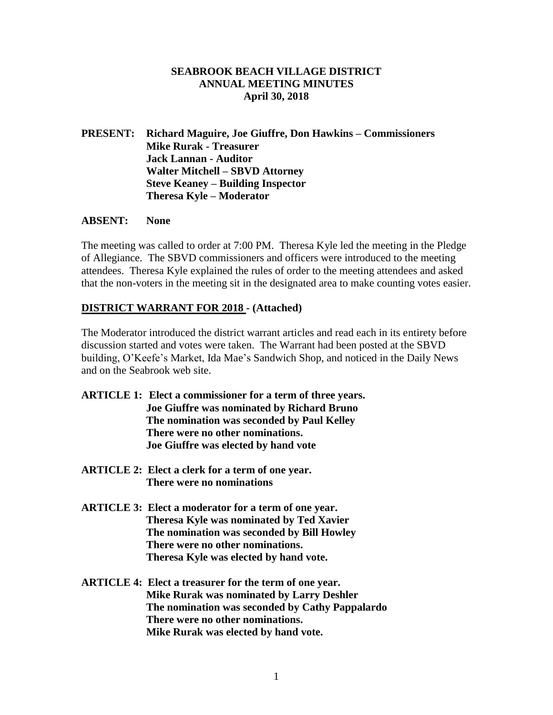### **SEABROOK BEACH VILLAGE DISTRICT ANNUAL MEETING MINUTES April 30, 2018**

# **PRESENT: Richard Maguire, Joe Giuffre, Don Hawkins – Commissioners Mike Rurak - Treasurer Jack Lannan - Auditor Walter Mitchell – SBVD Attorney Steve Keaney – Building Inspector Theresa Kyle – Moderator**

#### **ABSENT: None**

The meeting was called to order at 7:00 PM. Theresa Kyle led the meeting in the Pledge of Allegiance. The SBVD commissioners and officers were introduced to the meeting attendees. Theresa Kyle explained the rules of order to the meeting attendees and asked that the non-voters in the meeting sit in the designated area to make counting votes easier.

# **DISTRICT WARRANT FOR 2018 - (Attached)**

The Moderator introduced the district warrant articles and read each in its entirety before discussion started and votes were taken. The Warrant had been posted at the SBVD building, O'Keefe's Market, Ida Mae's Sandwich Shop, and noticed in the Daily News and on the Seabrook web site.

- **ARTICLE 1: Elect a commissioner for a term of three years. Joe Giuffre was nominated by Richard Bruno The nomination was seconded by Paul Kelley There were no other nominations. Joe Giuffre was elected by hand vote**
- **ARTICLE 2: Elect a clerk for a term of one year. There were no nominations**
- **ARTICLE 3: Elect a moderator for a term of one year. Theresa Kyle was nominated by Ted Xavier The nomination was seconded by Bill Howley There were no other nominations. Theresa Kyle was elected by hand vote.**
- **ARTICLE 4: Elect a treasurer for the term of one year. Mike Rurak was nominated by Larry Deshler The nomination was seconded by Cathy Pappalardo There were no other nominations. Mike Rurak was elected by hand vote.**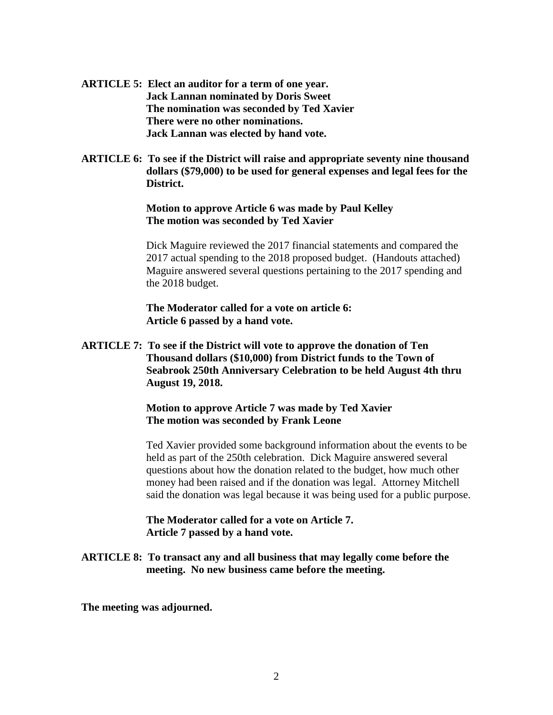- **ARTICLE 5: Elect an auditor for a term of one year. Jack Lannan nominated by Doris Sweet The nomination was seconded by Ted Xavier There were no other nominations. Jack Lannan was elected by hand vote.**
- **ARTICLE 6: To see if the District will raise and appropriate seventy nine thousand dollars (\$79,000) to be used for general expenses and legal fees for the District.**

#### **Motion to approve Article 6 was made by Paul Kelley The motion was seconded by Ted Xavier**

Dick Maguire reviewed the 2017 financial statements and compared the 2017 actual spending to the 2018 proposed budget. (Handouts attached) Maguire answered several questions pertaining to the 2017 spending and the 2018 budget.

**The Moderator called for a vote on article 6: Article 6 passed by a hand vote.**

**ARTICLE 7: To see if the District will vote to approve the donation of Ten Thousand dollars (\$10,000) from District funds to the Town of Seabrook 250th Anniversary Celebration to be held August 4th thru August 19, 2018.**

> **Motion to approve Article 7 was made by Ted Xavier The motion was seconded by Frank Leone**

Ted Xavier provided some background information about the events to be held as part of the 250th celebration. Dick Maguire answered several questions about how the donation related to the budget, how much other money had been raised and if the donation was legal. Attorney Mitchell said the donation was legal because it was being used for a public purpose.

**The Moderator called for a vote on Article 7. Article 7 passed by a hand vote.**

**ARTICLE 8: To transact any and all business that may legally come before the meeting. No new business came before the meeting.**

**The meeting was adjourned.**